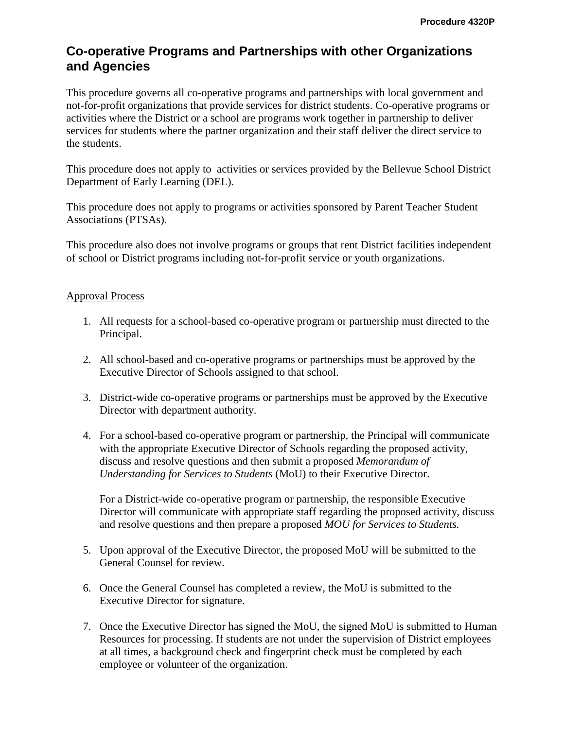## **Co-operative Programs and Partnerships with other Organizations and Agencies**

This procedure governs all co-operative programs and partnerships with local government and not-for-profit organizations that provide services for district students. Co-operative programs or activities where the District or a school are programs work together in partnership to deliver services for students where the partner organization and their staff deliver the direct service to the students.

This procedure does not apply to activities or services provided by the Bellevue School District Department of Early Learning (DEL).

This procedure does not apply to programs or activities sponsored by Parent Teacher Student Associations (PTSAs).

This procedure also does not involve programs or groups that rent District facilities independent of school or District programs including not-for-profit service or youth organizations.

## Approval Process

- 1. All requests for a school-based co-operative program or partnership must directed to the Principal.
- 2. All school-based and co-operative programs or partnerships must be approved by the Executive Director of Schools assigned to that school.
- 3. District-wide co-operative programs or partnerships must be approved by the Executive Director with department authority.
- 4. For a school-based co-operative program or partnership, the Principal will communicate with the appropriate Executive Director of Schools regarding the proposed activity, discuss and resolve questions and then submit a proposed *Memorandum of Understanding for Services to Students* (MoU) to their Executive Director.

For a District-wide co-operative program or partnership, the responsible Executive Director will communicate with appropriate staff regarding the proposed activity, discuss and resolve questions and then prepare a proposed *MOU for Services to Students.*

- 5. Upon approval of the Executive Director, the proposed MoU will be submitted to the General Counsel for review.
- 6. Once the General Counsel has completed a review, the MoU is submitted to the Executive Director for signature.
- 7. Once the Executive Director has signed the MoU, the signed MoU is submitted to Human Resources for processing. If students are not under the supervision of District employees at all times, a background check and fingerprint check must be completed by each employee or volunteer of the organization.